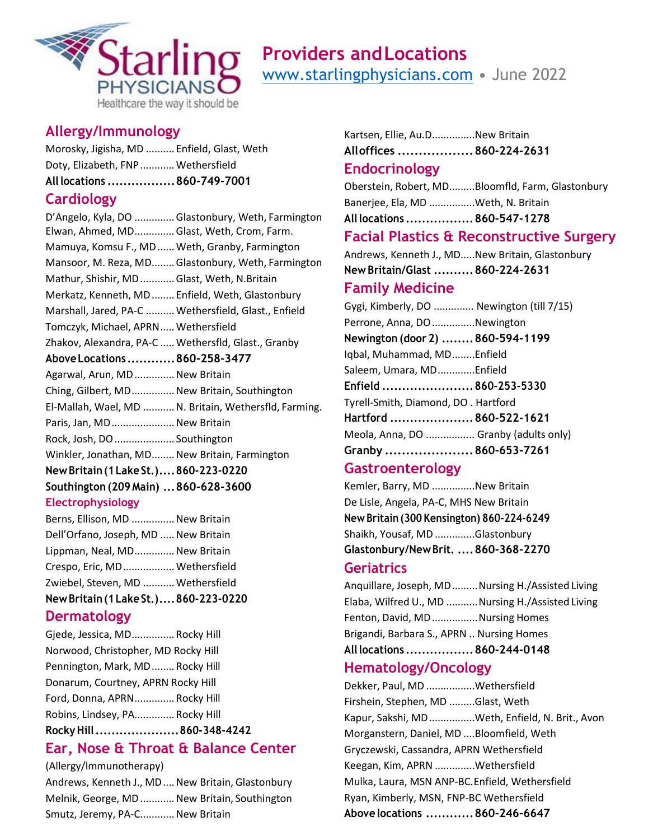

# **Providers andLocations** [www.starlingphysicians.com](http://www.starlingphysicians.com/) • June 2022

## **Allergy/Immunology**

Morosky, Jigisha, MD .......... Enfield, Glast, Weth Doty, Elizabeth, FNP ............ Wethersfield **All locations .................860-749-7001**

## **Cardiology**

| D'Angelo, Kyla, DO  Glastonbury, Weth, Farmington     |
|-------------------------------------------------------|
| Elwan, Ahmed, MD Glast, Weth, Crom, Farm.             |
| Mamuya, Komsu F., MD  Weth, Granby, Farmington        |
| Mansoor, M. Reza, MD Glastonbury, Weth, Farmington    |
| Mathur, Shishir, MD  Glast, Weth, N.Britain           |
| Merkatz, Kenneth, MD  Enfield, Weth, Glastonbury      |
| Marshall, Jared, PA-C  Wethersfield, Glast., Enfield  |
| Tomczyk, Michael, APRN Wethersfield                   |
| Zhakov, Alexandra, PA-C  Wethersfld, Glast., Granby   |
| Above Locations  860-258-3477                         |
| Agarwal, Arun, MD  New Britain                        |
| Ching, Gilbert, MD New Britain, Southington           |
| El-Mallah, Wael, MD  N. Britain, Wethersfld, Farming. |
| Paris, Jan, MD New Britain                            |
| Rock, Josh, DO  Southington                           |
| Winkler, Jonathan, MD New Britain, Farmington         |
| New Britain (1 Lake St.) 860-223-0220                 |
| Southington (209 Main)  860-628-3600                  |
| <b>Electrophysiology</b>                              |
|                                                       |

| New Britain (1 Lake St.) 860-223-0220 |  |
|---------------------------------------|--|
| Zwiebel, Steven, MD  Wethersfield     |  |
| Crespo, Eric, MD Wethersfield         |  |
| Lippman, Neal, MD New Britain         |  |
| Dell'Orfano, Joseph, MD  New Britain  |  |
| Berns, Ellison, MD  New Britain       |  |

## **Dermatology**

## **Ear, Nose & Throat & Balance Center**

(Allergy/lmmunotherapy) Andrews, Kenneth J., MD .... New Britain, Glastonbury Melnik, George, MD ............ New Britain, Southington Smutz, Jeremy, PA-C............ New Britain

Kartsen, Ellie, Au.D...............New Britain **Alloffices ..................860-224-2631**

### **Endocrinology**

Oberstein, Robert, MD.........Bloomfld, Farm, Glastonbury Banerjee, Ela, MD ................Weth, N. Britain

**All locations .................860-547-1278**

## **Facial Plastics & Reconstructive Surgery**

Andrews, Kenneth J., MD.....New Britain, Glastonbury **New Britain/Glast ..........860-224-2631**

### **Family Medicine**

Gygi, Kimberly, DO .............. Newington (till 7/15) Perrone, Anna, DO...............Newington **Newington (door 2) ........860-594-1199** Iqbal, Muhammad, MD........Enfield Saleem, Umara, MD.............Enfield **Enfield .......................860-253-5330** Tyrell-Smith, Diamond, DO . Hartford **Hartford .....................860-522-1621** Meola, Anna, DO ................. Granby (adults only) **Granby .....................860-653-7261**

## **Gastroenterology**

Kemler, Barry, MD ...............New Britain De Lisle, Angela, PA-C, MHS New Britain **New Britain (300 Kensington) 860-224-6249**  Shaikh, Yousaf, MD..............Glastonbury **Glastonbury/NewBrit. ....860-368-2270**

### **Geriatrics**

Anquillare, Joseph, MD.........Nursing H./Assisted Living Elaba, Wilfred U., MD ...........Nursing H./Assisted Living Fenton, David, MD................Nursing Homes Brigandi, Barbara S., APRN .. Nursing Homes **All locations .................860-244-0148**

## **Hematology/Oncology**

Dekker, Paul, MD .................Wethersfield Firshein, Stephen, MD .........Glast, Weth Kapur, Sakshi, MD................Weth, Enfield, N. Brit., Avon Morganstern, Daniel, MD ....Bloomfield, Weth Gryczewski, Cassandra, APRN Wethersfield Keegan, Kim, APRN ..............Wethersfield Mulka, Laura, MSN ANP-BC.Enfield, Wethersfield Ryan, Kimberly, MSN, FNP-BC Wethersfield **Above locations ............860-246-6647**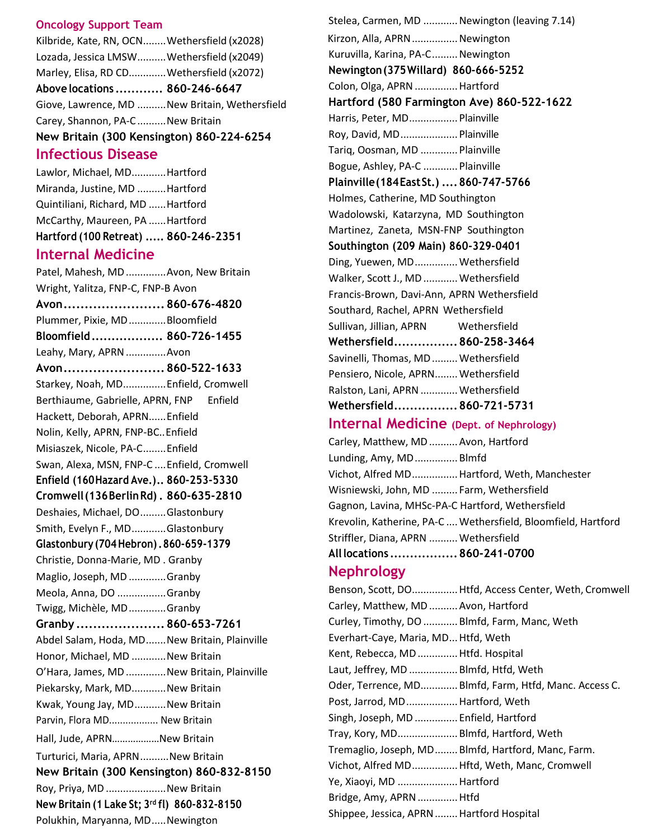#### **Oncology Support Team**

Kilbride, Kate, RN, OCN........Wethersfield (x2028) Lozada, Jessica LMSW..........Wethersfield (x2049) Marley, Elisa, RD CD.............Wethersfield (x2072) **Above locations ............ 860-246-6647** Giove, Lawrence, MD ..........New Britain, Wethersfield Carey, Shannon, PA-C..........New Britain **New Britain (300 Kensington) 860-224-6254**

#### **Infectious Disease**

Lawlor, Michael, MD............Hartford Miranda, Justine, MD ..........Hartford Quintiliani, Richard, MD ......Hartford McCarthy, Maureen, PA ......Hartford **Hartford (100 Retreat) ..... 860-246-2351**

#### **Internal Medicine**

Patel, Mahesh, MD..............Avon, New Britain Wright, Yalitza, FNP-C, FNP-B Avon **Avon........................ 860-676-4820** Plummer, Pixie, MD.............Bloomfield **Bloomfield.................. 860-726-1455** Leahy, Mary, APRN..............Avon **Avon........................ 860-522-1633** Starkey, Noah, MD...............Enfield, Cromwell Berthiaume, Gabrielle, APRN, FNP Enfield Hackett, Deborah, APRN......Enfield Nolin, Kelly, APRN, FNP-BC..Enfield Misiaszek, Nicole, PA-C........Enfield Swan, Alexa, MSN, FNP-C ....Enfield, Cromwell **Enfield (160Hazard Ave.).. 860-253-5330 Cromwell(136BerlinRd) . 860-635-2810** Deshaies, Michael, DO.........Glastonbury Smith, Evelyn F., MD............Glastonbury **Glastonbury (704Hebron).860-659-1379**  Christie, Donna-Marie, MD . Granby Maglio, Joseph, MD.............Granby Meola, Anna, DO .................Granby Twigg, Michèle, MD.............Granby **Granby ..................... 860-653-7261** Abdel Salam, Hoda, MD.......New Britain, Plainville Honor, Michael, MD ............ New Britain O'Hara, James, MD..............New Britain, Plainville Piekarsky, Mark, MD............New Britain Kwak, Young Jay, MD...........New Britain Parvin, Flora MD.................. New Britain Hall, Jude, APRN………………New Britain Turturici, Maria, APRN..........New Britain **New Britain (300 Kensington) 860-832-8150** Roy, Priya, MD .....................New Britain **New Britain (1 Lake St; 3 rd fl) 860-832-8150**  Polukhin, Maryanna, MD.....Newington

Stelea, Carmen, MD ............ Newington (leaving 7.14) Kirzon, Alla, APRN ................ Newington Kuruvilla, Karina, PA-C......... Newington **Newington(375Willard) 860-666-5252** Colon, Olga, APRN...............Hartford **Hartford (580 Farmington Ave) 860-522-1622** Harris, Peter, MD................. Plainville Roy, David, MD.................... Plainville Tariq, Oosman, MD .............Plainville Bogue, Ashley, PA-C ............Plainville **Plainville(184EastSt.) ....860-747-5766** Holmes, Catherine, MD Southington Wadolowski, Katarzyna, MD Southington Martinez, Zaneta, MSN-FNP Southington **Southington (209 Main) 860-329-0401** Ding, Yuewen, MD............... Wethersfield Walker, Scott J., MD ............ Wethersfield Francis-Brown, Davi-Ann, APRN Wethersfield Southard, Rachel, APRN Wethersfield Sullivan, Jillian, APRN Wethersfield **Wethersfield................860-258-3464** Savinelli, Thomas, MD ......... Wethersfield Pensiero, Nicole, APRN........ Wethersfield Ralston, Lani, APRN.............Wethersfield **Wethersfield................860-721-5731 Internal Medicine (Dept. of Nephrology)** Carley, Matthew, MD..........Avon, Hartford Lunding, Amy, MD...............Blmfd Vichot, Alfred MD................Hartford, Weth, Manchester

Wisniewski, John, MD ......... Farm, Wethersfield Gagnon, Lavina, MHSc-PA-C Hartford, Wethersfield Krevolin, Katherine, PA-C .... Wethersfield, Bloomfield, Hartford Striffler, Diana, APRN .......... Wethersfield **All locations .................860-241-0700**

#### **Nephrology**

Benson, Scott, DO................Htfd, Access Center, Weth, Cromwell Carley, Matthew, MD..........Avon, Hartford Curley, Timothy, DO............Blmfd, Farm, Manc, Weth Everhart-Caye, Maria, MD...Htfd, Weth Kent, Rebecca, MD..............Htfd. Hospital Laut, Jeffrey, MD .................Blmfd, Htfd, Weth Oder, Terrence, MD.............Blmfd, Farm, Htfd, Manc. Access C. Post, Jarrod, MD.................. Hartford, Weth Singh, Joseph, MD ............... Enfield, Hartford Tray, Kory, MD.....................Blmfd, Hartford, Weth Tremaglio, Joseph, MD........Blmfd, Hartford, Manc, Farm. Vichot, Alfred MD................Hftd, Weth, Manc, Cromwell Ye, Xiaoyi, MD .....................Hartford Bridge, Amy, APRN..............Htfd Shippee, Jessica, APRN ........ Hartford Hospital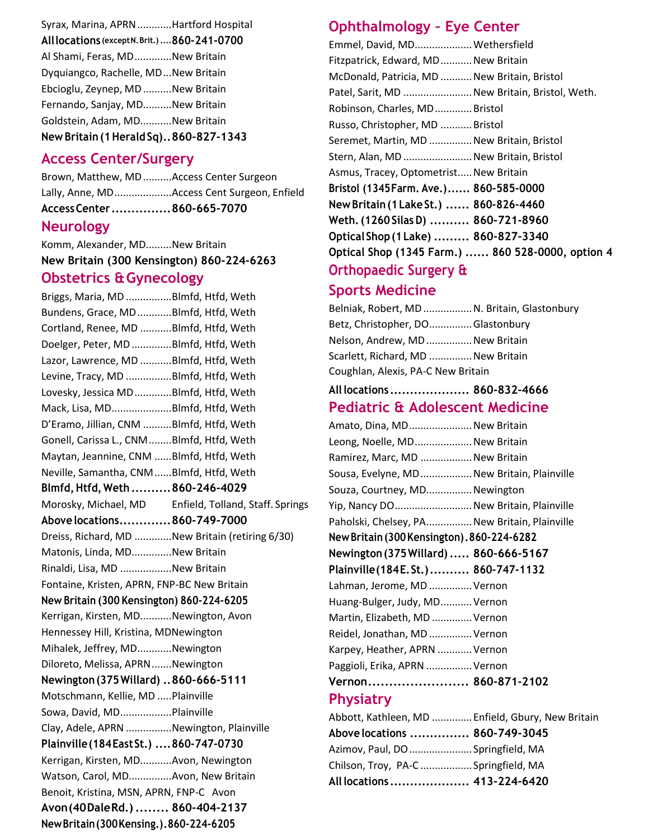| Syrax, Marina, APRN Hartford Hospital         |
|-----------------------------------------------|
| All locations (except N. Brit.)  860-241-0700 |
| Al Shami, Feras, MDNew Britain                |
| Dyquiangco, Rachelle, MDNew Britain           |
| Ebcioglu, Zeynep, MD New Britain              |
| Fernando, Sanjay, MDNew Britain               |
| Goldstein, Adam, MDNew Britain                |
| New Britain (1 Herald Sq). . 860-827-1343     |

#### **Access Center/Surgery**

Brown, Matthew, MD..........Access Center Surgeon Lally, Anne, MD....................Access Cent Surgeon, Enfield **AccessCenter ...............860-665-7070**

#### **Neurology**

Komm, Alexander, MD.........New Britain **New Britain (300 Kensington) 860-224-6263 Obstetrics &Gynecology**

Briggs, Maria, MD ................Blmfd, Htfd, Weth Bundens, Grace, MD............Blmfd, Htfd, Weth Cortland, Renee, MD ...........Blmfd, Htfd, Weth Doelger, Peter, MD..............Blmfd, Htfd, Weth Lazor, Lawrence, MD ...........Blmfd, Htfd, Weth Levine, Tracy, MD ................Blmfd, Htfd, Weth Lovesky, Jessica MD.............Blmfd, Htfd, Weth Mack, Lisa, MD.....................Blmfd, Htfd, Weth D'Eramo, Jillian, CNM ..........Blmfd, Htfd, Weth Gonell, Carissa L., CNM........Blmfd, Htfd, Weth Maytan, Jeannine, CNM ......Blmfd, Htfd, Weth Neville, Samantha, CNM......Blmfd, Htfd, Weth **Blmfd,Htfd, Weth ..........860-246-4029** Morosky, Michael, MD Enfield, Tolland, Staff. Springs **Abovelocations.............860-749-7000** Dreiss, Richard, MD .............New Britain (retiring 6/30) Matonis, Linda, MD..............New Britain Rinaldi, Lisa, MD ..................New Britain Fontaine, Kristen, APRN, FNP-BC New Britain **New Britain (300 Kensington) 860-224-6205**  Kerrigan, Kirsten, MD...........Newington, Avon Hennessey Hill, Kristina, MDNewington Mihalek, Jeffrey, MD............Newington Diloreto, Melissa, APRN.......Newington **Newington(375Willard) ..860-666-5111** Motschmann, Kellie, MD .....Plainville Sowa, David, MD..................Plainville Clay, Adele, APRN ................Newington, Plainville **Plainville(184EastSt.) ....860-747-0730** Kerrigan, Kirsten, MD...........Avon, Newington Watson, Carol, MD...............Avon, New Britain Benoit, Kristina, MSN, APRN, FNP-C Avon **Avon(40DaleRd.)........ 860-404-2137 NewBritain(300Kensing.).860-224-6205**

## **Ophthalmology – Eye Center**

| Emmel, David, MD Wethersfield                     |  |
|---------------------------------------------------|--|
| Fitzpatrick, Edward, MD New Britain               |  |
| McDonald, Patricia, MD  New Britain, Bristol      |  |
| Patel, Sarit, MD  New Britain, Bristol, Weth.     |  |
| Robinson, Charles, MDBristol                      |  |
| Russo, Christopher, MD  Bristol                   |  |
| Seremet, Martin, MD  New Britain, Bristol         |  |
| Stern, Alan, MD  New Britain, Bristol             |  |
| Asmus, Tracey, Optometrist New Britain            |  |
| Bristol (1345Farm. Ave.) 860-585-0000             |  |
| New Britain (1 Lake St.)  860-826-4460            |  |
| Weth. (1260 Silas D)  860-721-8960                |  |
| Optical Shop (1 Lake)  860-827-3340               |  |
| Optical Shop (1345 Farm.)  860 528-0000, option 4 |  |
| Orthopaedic Surgery &                             |  |
|                                                   |  |

#### **Sports Medicine**

Belniak, Robert, MD.................N. Britain, Glastonbury Betz, Christopher, DO...............Glastonbury Nelson, Andrew, MD................New Britain Scarlett, Richard, MD ............... New Britain Coughlan, Alexis, PA-C New Britain **All locations .................... 860-832-4666 Pediatric & Adolescent Medicine** Amato, Dina, MD......................New Britain Leong, Noelle, MD.................... New Britain Ramirez, Marc, MD .................. New Britain Sousa, Evelyne, MD..................New Britain, Plainville Souza, Courtney, MD................Newington Yip, Nancy DO...........................New Britain, Plainville Paholski, Chelsey, PA................New Britain, Plainville **NewBritain(300Kensington).860-224-6282 Newington(375Willard) ..... 860-666-5167 Plainville(184E.St.).......... 860-747-1132** Lahman, Jerome, MD ...............Vernon Huang-Bulger, Judy, MD...........Vernon Martin, Elizabeth, MD ..............Vernon Reidel, Jonathan, MD...............Vernon Karpey, Heather, APRN ............Vernon Paggioli, Erika, APRN ................Vernon **Vernon........................ 860-871-2102 Physiatry** Abbott, Kathleen, MD ..............Enfield, Gbury, New Britain